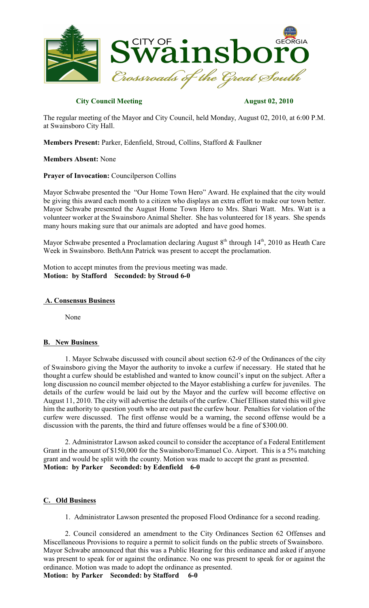

## **City Council Meeting August 02, 2010**

The regular meeting of the Mayor and City Council, held Monday, August 02, 2010, at 6:00 P.M. at Swainsboro City Hall.

**Members Present:** Parker, Edenfield, Stroud, Collins, Stafford & Faulkner

**Members Absent:** None

### **Prayer of Invocation:** Councilperson Collins

Mayor Schwabe presented the "Our Home Town Hero" Award. He explained that the city would be giving this award each month to a citizen who displays an extra effort to make our town better. Mayor Schwabe presented the August Home Town Hero to Mrs. Shari Watt. Mrs. Watt is a volunteer worker at the Swainsboro Animal Shelter. She has volunteered for 18 years. She spends many hours making sure that our animals are adopted and have good homes.

Mayor Schwabe presented a Proclamation declaring August 8<sup>th</sup> through 14<sup>th</sup>, 2010 as Heath Care Week in Swainsboro. BethAnn Patrick was present to accept the proclamation.

Motion to accept minutes from the previous meeting was made. **Motion: by Stafford Seconded: by Stroud 6-0**

#### **A. Consensus Business**

None

#### **B. New Business**

1. Mayor Schwabe discussed with council about section 62-9 of the Ordinances of the city of Swainsboro giving the Mayor the authority to invoke a curfew if necessary. He stated that he thought a curfew should be established and wanted to know council's input on the subject. After a long discussion no council member objected to the Mayor establishing a curfew for juveniles. The details of the curfew would be laid out by the Mayor and the curfew will become effective on August 11, 2010. The city will advertise the details of the curfew. Chief Ellison stated this will give him the authority to question youth who are out past the curfew hour. Penalties for violation of the curfew were discussed. The first offense would be a warning, the second offense would be a discussion with the parents, the third and future offenses would be a fine of \$300.00.

2. Administrator Lawson asked council to consider the acceptance of a Federal Entitlement Grant in the amount of \$150,000 for the Swainsboro/Emanuel Co. Airport. This is a 5% matching grant and would be split with the county. Motion was made to accept the grant as presented. **Motion: by Parker Seconded: by Edenfield 6-0**

## **C. Old Business**

1. Administrator Lawson presented the proposed Flood Ordinance for a second reading.

2. Council considered an amendment to the City Ordinances Section 62 Offenses and Miscellaneous Provisions to require a permit to solicit funds on the public streets of Swainsboro. Mayor Schwabe announced that this was a Public Hearing for this ordinance and asked if anyone was present to speak for or against the ordinance. No one was present to speak for or against the ordinance. Motion was made to adopt the ordinance as presented.